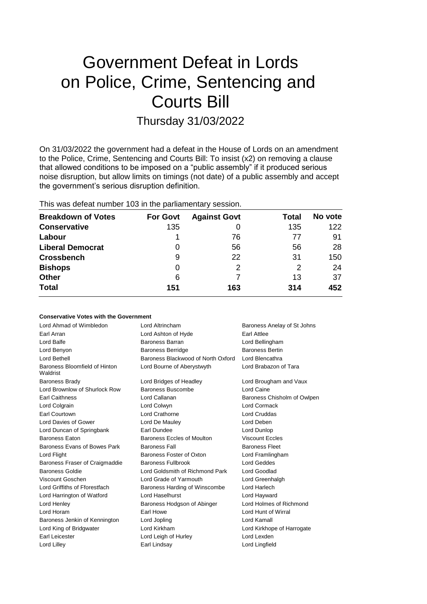# Government Defeat in Lords on Police, Crime, Sentencing and Courts Bill

# Thursday 31/03/2022

On 31/03/2022 the government had a defeat in the House of Lords on an amendment to the Police, Crime, Sentencing and Courts Bill: To insist (x2) on removing a clause that allowed conditions to be imposed on a "public assembly" if it produced serious noise disruption, but allow limits on timings (not date) of a public assembly and accept the government's serious disruption definition.

# This was defeat number 103 in the parliamentary session.

| <b>Breakdown of Votes</b> | <b>For Govt</b> | <b>Against Govt</b> | Total         | No vote |
|---------------------------|-----------------|---------------------|---------------|---------|
| <b>Conservative</b>       | 135             | 0                   | 135           | 122     |
| Labour                    |                 | 76                  | 77            | 91      |
| <b>Liberal Democrat</b>   | 0               | 56                  | 56            | -28     |
| <b>Crossbench</b>         | 9               | 22                  | 31            | 150     |
| <b>Bishops</b>            | 0               | 2                   | $\mathcal{P}$ | 24      |
| <b>Other</b>              | 6               |                     | 13            | 37      |
| <b>Total</b>              | 151             | 163                 | 314           | 452     |

### **Conservative Votes with the Government**

| Lord Ahmad of Wimbledon                   | Lord Altrincham                    | Baroness Anelay of St Johns |
|-------------------------------------------|------------------------------------|-----------------------------|
| Earl Arran                                | Lord Ashton of Hyde                | Earl Attlee                 |
| Lord Balfe                                | Baroness Barran                    | Lord Bellingham             |
| Lord Benyon                               | <b>Baroness Berridge</b>           | <b>Baroness Bertin</b>      |
| Lord Bethell                              | Baroness Blackwood of North Oxford | Lord Blencathra             |
| Baroness Bloomfield of Hinton<br>Waldrist | Lord Bourne of Aberystwyth         | Lord Brabazon of Tara       |
| <b>Baroness Brady</b>                     | Lord Bridges of Headley            | Lord Brougham and Vaux      |
| Lord Brownlow of Shurlock Row             | Baroness Buscombe                  | Lord Caine                  |
| <b>Earl Caithness</b>                     | Lord Callanan                      | Baroness Chisholm of Owlpen |
| Lord Colgrain                             | Lord Colwyn                        | Lord Cormack                |
| Earl Courtown                             | Lord Crathorne                     | Lord Cruddas                |
| Lord Davies of Gower                      | Lord De Mauley                     | Lord Deben                  |
| Lord Duncan of Springbank                 | Earl Dundee                        | Lord Dunlop                 |
| <b>Baroness Eaton</b>                     | Baroness Eccles of Moulton         | <b>Viscount Eccles</b>      |
| Baroness Evans of Bowes Park              | <b>Baroness Fall</b>               | <b>Baroness Fleet</b>       |
| Lord Flight                               | Baroness Foster of Oxton           | Lord Framlingham            |
| Baroness Fraser of Craigmaddie            | <b>Baroness Fullbrook</b>          | Lord Geddes                 |
| Baroness Goldie                           | Lord Goldsmith of Richmond Park    | Lord Goodlad                |
| Viscount Goschen                          | Lord Grade of Yarmouth             | Lord Greenhalgh             |
| Lord Griffiths of Fforestfach             | Baroness Harding of Winscombe      | Lord Harlech                |
| Lord Harrington of Watford                | Lord Haselhurst                    | Lord Hayward                |
| Lord Henley                               | Baroness Hodgson of Abinger        | Lord Holmes of Richmond     |
| Lord Horam                                | Earl Howe                          | Lord Hunt of Wirral         |
| Baroness Jenkin of Kennington             | Lord Jopling                       | Lord Kamall                 |
| Lord King of Bridgwater                   | Lord Kirkham                       | Lord Kirkhope of Harrogate  |
| Earl Leicester                            | Lord Leigh of Hurley               | Lord Lexden                 |
| Lord Lilley                               | Earl Lindsay                       | Lord Lingfield              |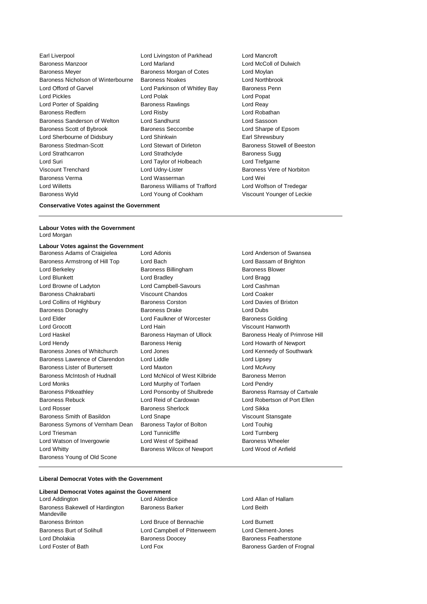Earl Liverpool **Lord Livingston of Parkhead** Lord Mancroft Baroness Manzoor Lord Marland Lord McColl of Dulwich Baroness Meyer **Baroness Morgan of Cotes** Lord Moylan Baroness Nicholson of Winterbourne Baroness Noakes Lord Northbrook Lord Offord of Garvel **Lord Parkinson of Whitley Bay** Baroness Penn Lord Pickles Lord Polak Lord Popat Lord Porter of Spalding **Baroness Rawlings** Lord Reay Baroness Redfern Lord Risby Lord Robathan Baroness Sanderson of Welton Lord Sandhurst Lord Sassoon Baroness Scott of Bybrook Baroness Seccombe Lord Sharpe of Epsom Lord Sherbourne of Didsbury Lord Shinkwin Earl Shrewsbury Baroness Stedman-Scott Lord Stewart of Dirleton Baroness Stowell of Beeston Lord Strathcarron **Lord Strathclyde** Baroness Sugg Lord Suri Lord Taylor of Holbeach Lord Trefgarne Viscount Trenchard **Lord Udny-Lister Baroness Vere of Norbiton** Baroness Verma Lord Wasserman Lord Wei Lord Willetts Baroness Williams of Trafford Lord Wolfson of Tredegar Baroness Wyld Lord Young of Cookham Viscount Younger of Leckie

# **Conservative Votes against the Government**

#### **Labour Votes with the Government** Lord Morgan

### **Labour Votes against the Government**

Baroness Armstrong of Hill Top Lord Bach Lord Bassam of Brighton Lord Berkeley **Baroness Billingham** Baroness Blower Lord Blunkett Lord Bradley Lord Bragg Lord Browne of Ladyton Lord Campbell-Savours Lord Cashman Baroness Chakrabarti **Viscount Chandos** Lord Coaker Lord Collins of Highbury Baroness Corston Lord Davies of Brixton Baroness Donaghy Baroness Drake Lord Dubs Lord Elder Lord Faulkner of Worcester Baroness Golding Lord Grocott Lord Hain Viscount Hanworth Lord Haskel Baroness Hayman of Ullock Baroness Healy of Primrose Hill Lord Hendy **Baroness Henig** Lord Howarth of Newport Baroness Jones of Whitchurch Lord Jones Lord Kennedy of Southwark Baroness Lawrence of Clarendon Lord Liddle Lord Lipsey Baroness Lister of Burtersett Lord Maxton Lord McAvoy Baroness McIntosh of Hudnall Lord McNicol of West Kilbride Baroness Merron Lord Monks Lord Murphy of Torfaen Lord Pendry Baroness Pitkeathley Lord Ponsonby of Shulbrede Baroness Ramsay of Cartvale Baroness Rebuck Lord Reid of Cardowan Lord Robertson of Port Ellen Lord Rosser **Baroness Sherlock** Lord Sikka Baroness Smith of Basildon Lord Snape **Lorge Communist Standale Standard Stansgate** Viscount Stansgate Baroness Symons of Vernham Dean Baroness Taylor of Bolton Lord Touhig Lord Triesman **Lord Turnberg** Lord Turnberg Lord Turnberg Lord Turnberg Lord Watson of Invergowrie Lord West of Spithead Baroness Wheeler Lord Whitty Baroness Wilcox of Newport Lord Wood of Anfield Baroness Young of Old Scone

Baroness Adams of Craigielea Lord Adonis Lord Anderson of Swansea

#### **Liberal Democrat Votes with the Government**

# **Liberal Democrat Votes against the Government**

Lord Addington Lord Alderdice Lord Allan of Hallam Baroness Bakewell of Hardington Mandeville Baroness Brinton Lord Bruce of Bennachie Lord Burnett Baroness Burt of Solihull Lord Campbell of Pittenweem Lord Clement-Jones Lord Dholakia **Baroness Doocey** Baroness Poster Baroness Featherstone Lord Foster of Bath **Lord Fox** Lord Fox **Baroness Garden of Frognal** 

Baroness Barker **Lord Beith**